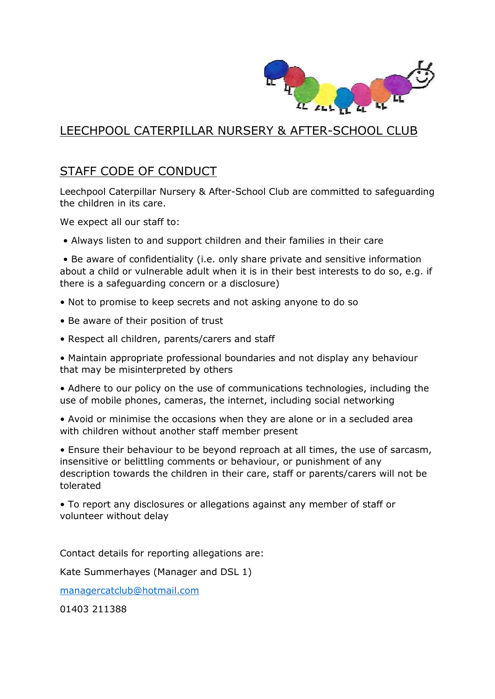

## LEECHPOOL CATERPILLAR NURSERY & AFTER-SCHOOL CLUB

## STAFF CODE OF CONDUCT

Leechpool Caterpillar Nursery & After-School Club are committed to safeguarding the children in its care.

We expect all our staff to:

• Always listen to and support children and their families in their care

• Be aware of confidentiality (i.e. only share private and sensitive information about a child or vulnerable adult when it is in their best interests to do so, e.g. if there is a safeguarding concern or a disclosure)

- Not to promise to keep secrets and not asking anyone to do so
- Be aware of their position of trust
- Respect all children, parents/carers and staff

• Maintain appropriate professional boundaries and not display any behaviour that may be misinterpreted by others

• Adhere to our policy on the use of communications technologies, including the use of mobile phones, cameras, the internet, including social networking

• Avoid or minimise the occasions when they are alone or in a secluded area with children without another staff member present

• Ensure their behaviour to be beyond reproach at all times, the use of sarcasm, insensitive or belittling comments or behaviour, or punishment of any description towards the children in their care, staff or parents/carers will not be tolerated

• To report any disclosures or allegations against any member of staff or volunteer without delay

Contact details for reporting allegations are:

Kate Summerhayes (Manager and DSL 1)

[managercatclub@hotmail.com](mailto:managercatclub@hotmail.com)

01403 211388